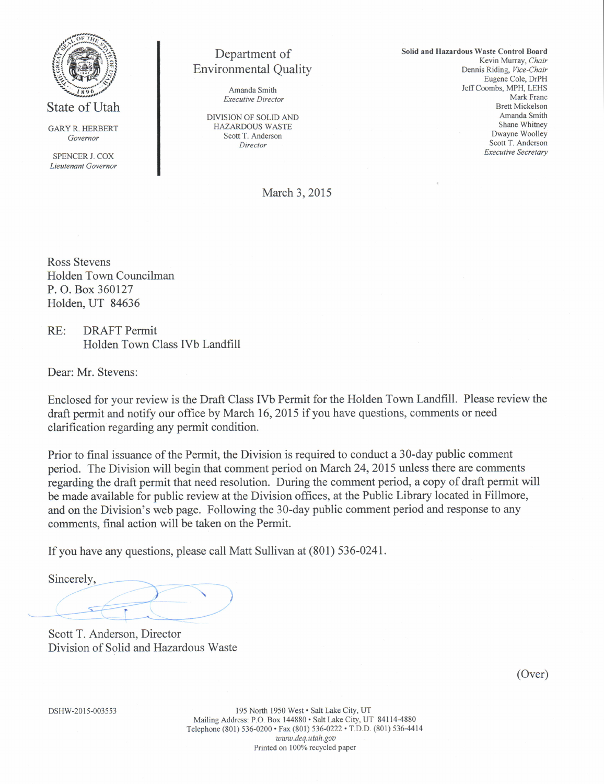

State of Utah

GARYR. HERBERT Govemor

SPENCER J. COX Lieutenant Governor

# Department ot Environmental Quality

Amanda Smith Executiye Director

DIVISION OF SOLID AND HAZARDOUS WASTE Scott T. Anderson Director

Solid and Hazardous Waste Control Board Kevin Murray, Chair Dennis Riding, Vice-Chair Eugene Cole, DrPH Jeff Coombs, MPH, LEHS Mark Franc Brett Mickelson Amanda Smith Shane Whitney Dwayne Woolley Scott T. Anderson Executive Secretary

March 3.2015

Ross Stevens Holden Town Councilman P. O. Box 360127 Holden, UT 84636

RE: DRAFT Permit Holden Town Class IVb Landfill

Dear: Mr. Stevens:

Enclosed for your review is the Draft Class IVb Permit for the Holden Town Landfrll. Please review the draft permit and notify our office by March 16,2015 if you have questions, comments or need clarification regarding any permit condition.

Prior to final issuance of the Permit, the Division is required to conduct a 30-day public comment period. The Division will begin that comment period on March 24,2015 unless there are comments regarding the draft permit that need resolution. During the comment period, a copy of draft permit will be made available for public review at the Division offices, at the Public Library located in Fillmore, and on the Division's web page. Following the 30-day public comment period and response to any comments, final action will be taken on the Permit.

If you have any questions, please call Matt Sullivan at (801) 536-0241.

F Sincerely,  $\prec$  $\mathcal{L}$  $\overbrace{\phantom{aaaaa}}^{\phantom{aaaa}}$ 

Scott T. Anderson, Director Division of Solid and Hazardous Waste

(Over)

DSHW-2015-003553

195 North 1950 West · Salt Lake City, UT Mailing Address: P.O. Box 144880 . Salt Lake City, UT 84114-4880 Telephone (801) 536-0200 · Fax (801) 536-0222 · T.D.D. (801) 536-4414 www.deq.utah.gov Printed on 100% recycled paper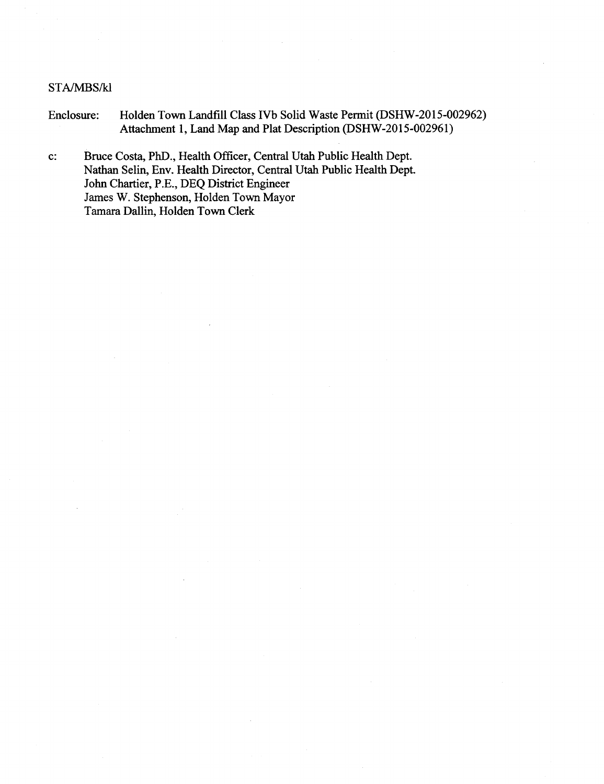#### STA/MBS/kl

- Enclosure: Holden Town Landfill Class tVb Solid Waste Permit (DSHW-2015-002962) Attachment 1, Land Map and Plat Description (DSHW-2015-002961)
- c: Bruce Costa, PhD., Health Officer, Central Utah Public Health Dept. Nathan Selin, Env. Health Director, Central Utah Public Health Dept John Chartier, P.E., DEQ District Engineer James W. Stephenson, Holden Town Mayor Tamara Dallin. Holden Town Clerk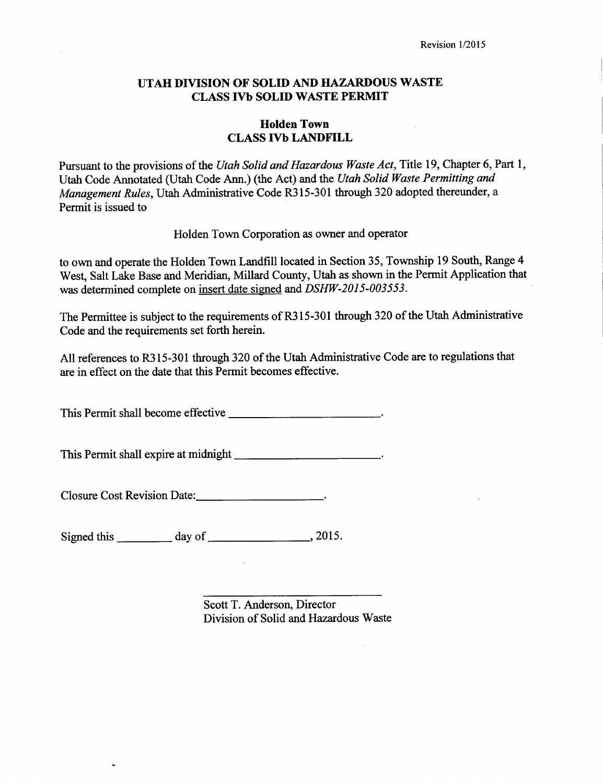### UTAH DIVISION OF SOLID AND HAZARDOUS WASTE CLASS IVb SOLID WASTE PERMIT

### Holden Town **CLASS IVb LANDFILL**

Pursuant to the provisions of the Utah Solid and Hazardous Waste Act, Title 19, Chapter 6, Part 1, Utah Code Annotated (Utah Code Ann.) (the Act) and the Utah Solid Waste Permitting and Management Rules, Utah Administrative Code R315-301 through 320 adopted thereunder, a Permit is issued to

Holden Town Corporation as owner and operator

to own and operate the Holden Town Landfill located in Section 35, Township 19 South, Range 4 West, Salt Lake Base and Meridian, Millard County, Utah as shown in the Permit Application that was determined complete on insert date signed and DSHW-2015-003553.

The Permittee is subject to the requirements of R3l5-301 through 320 of the Utah Administrative Code and the requirements set forth herein.

All references to R3l5-301 through 320 of the Utah Administrative Code are to regulations that are in effect on the date that this Permit becomes effective.

This Permit shall become effective \_\_\_\_\_\_\_\_\_\_\_\_\_\_\_\_\_\_\_\_\_\_\_\_\_\_\_\_\_\_\_.

This Permit shall expire at midnight \_\_\_\_\_\_\_\_\_\_\_\_\_\_\_\_\_\_\_\_\_\_\_\_\_\_\_\_\_.

Closure Cost Revision Date:

Signed this  $\frac{day \text{ of } (x,y) \cdot 2015}{(x, y) \cdot 2015}$ 

Scott T. Anderson, Director Division of Solid and Hazardous Waste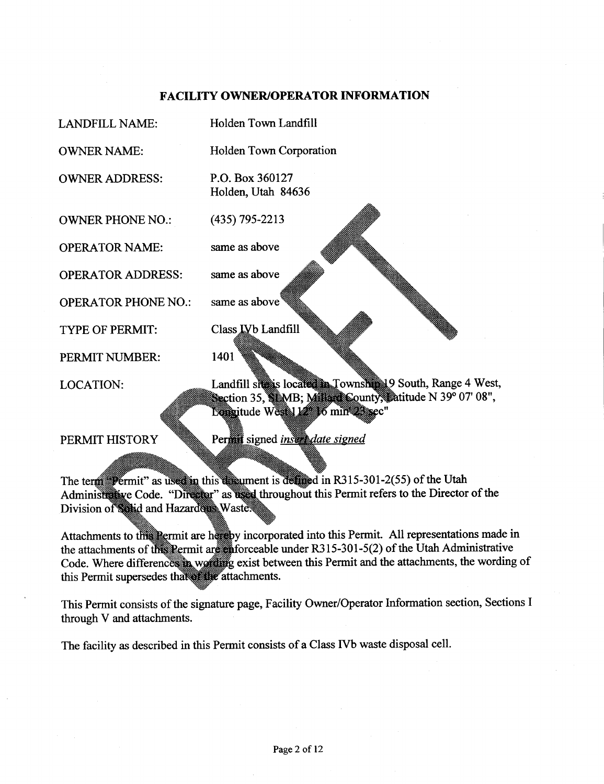## FACILITY OWNER/OPERATOR INFORMATION

| <b>LANDFILL NAME:</b>      | Holden Town Landfill                                                                                                      |
|----------------------------|---------------------------------------------------------------------------------------------------------------------------|
| <b>OWNER NAME:</b>         | Holden Town Corporation                                                                                                   |
| <b>OWNER ADDRESS:</b>      | P.O. Box 360127<br>Holden, Utah 84636                                                                                     |
| <b>OWNER PHONE NO.:</b>    | $(435)$ 795-2213                                                                                                          |
| <b>OPERATOR NAME:</b>      | same as above                                                                                                             |
| <b>OPERATOR ADDRESS:</b>   | same as above                                                                                                             |
| <b>OPERATOR PHONE NO.:</b> | same as above                                                                                                             |
| TYPE OF PERMIT:            | Class <b>IVb</b> Landfill                                                                                                 |
| PERMIT NUMBER:             | 1401                                                                                                                      |
| <b>LOCATION:</b>           | Landfill site is located in Township 19 South, Range 4 West,<br>Section 35, SIMB; Millian County, Datitude N 39° 07' 08", |
|                            | Lomaitude West 112 16 min Sec"                                                                                            |
| PERMIT HISTORY             | Permit signed insert date signed                                                                                          |

The term Permit" as used in this discurse is defined in R315-301-2(55) of the Utah Administrative Code. "Director" as used throughout this Permit refers to the Director of the Division of solid and Hazarders Waste

Attachments to this Permit are hereby incorporated into this Permit. All representations made in the attachments of the Permit are nforceable under R315-301-5(2) of the Utah Administrative Code. Where differences in wording exist between this Permit and the attachments, the wording of this Permit supersedes that the attachments.

This Permit consists of the signature page, Facility Owner/Operator lnformation section, Sections I through V and attachments.

The facility as described in this Permit consists of a Class IVb waste disposal cell.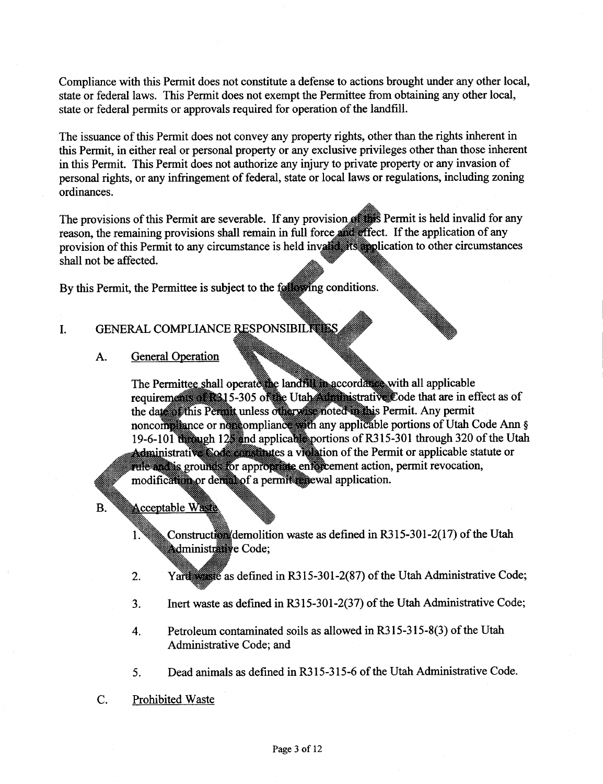Compliance with this Permit does not constitute a defense to actions brought under any other local, state or federal laws. This Permit does not exempt the Permittee from obtaining any other local, state or federal permits or approvals required for operation of the landfill.

The issuance of this Permit does not convey any property rights, other than the rights inherent in this Permit, in either real or personal property or any exclusive privileges other than those inherent in this Permit. This Permit does not authorize any injury to private property or any invasion of personal rights, or any infringement of federal, state or local laws or regulations, including zoning ordinances.

The provisions of this Permit are severable. If any provision **Provision** Permit is held invalid for any reason, the remaining provisions shall remain in full force **All application** of any provision of this Permit to any circumstance is held invalidation to other circumstances shall not be affected.

By this Permit, the Permittee is subject to the formal equations.

## I. GENERAL COMPLIANCE RESPONSIBILITIES

A. General Operation

The Permittee shall operate the landful accordate with all applicable requirements at 15-305 of the Utah inistrative Code that are in effect as of the date of this Permit unless otherwise noted in this Permit. Any permit noncompliance or noncompliance with any applicable portions of Utah Code Ann § 19-6-101 through 12 and applicates portions of R315-301 through 320 of the Utah Administrative Code constructs a vielation of the Permit or applicable statute or rule and is grounds for appropriate enforcement action, permit revocation, modification or derivator a permittanewal application.

**B.** Acceptable Waste

 $1.$ 

Construction waste as defined in R315-301-2(17) of the Utah **Administrative Code;** 

- Yard as defined in R315-301-2(87) of the Utah Administrative Code; 2.
- Inert waste as defined in R315-301-2(37) of the Utah Administrative Code; 3.
- Petroleum contaminated soils as allowed in R3l5-315-8(3) of the Utah Administrative Code; and 4.
- Dead animals as defined in R3l5-315-6 of the Utah Administrative Code. 5.
- C. Prohibited Waste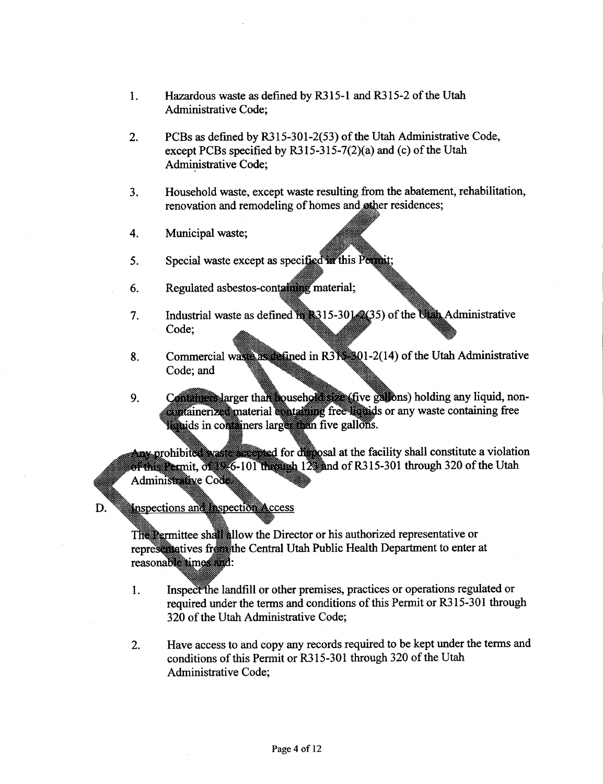- l. Hazardous waste as defined by R3l5-l and R3l5-2 of the Utah Administrative Code;
- 2. PCBs as defined by R3l5-301-2(53) of the Utah Administrative Code, except PCBs specified by R3l5-315-7(2)(a) and (c) of the Utah Administrative Code;
- Household waste, except waste resulting from the abatement, rehabilitation, renovation and remodeling of homes and other residences; J.
- Municipal waste; 4.
- Special waste except as specified in this Permit; 5.
- Regulated asbestos-containing material; 6.
- Industrial waste as defined **1982** 15-301 (25) of the Ullim Administrative Code; 7.
- 8. Commercial was assumed in R31 201-2(14) of the Utah Administrative Code; and
- Contained larger than household state (five gallons) holding any liquid, non- $9<sub>1</sub>$ **or any wasternal containing** free limits or any waste containing free failids in comminers large than five gallons.

Any prohibited was to make the discussion at the facility shall constitute a violation  $\overline{\text{or}}$  Registermit,  $\overline{\text{or}}$  6-101 through 12 and of R315-301 through 320 of the Utah Administrative Code

Inspections and Inspection Access D.

> the Director or his authorized representative or representatives from the Central Utah Public Health Department to enter at reasonable times and:

- Inspect the landfill or other premises, practices or operations regulated or 1. required under the terms and conditions of this Permit or R3l5-301 through 320 of the Utah Administrative Code;
- 2. Have access to and copy any records required to be kept under the terms and conditions of this Permit or R3l5-301 through 320 of the Utah Administrative Code: